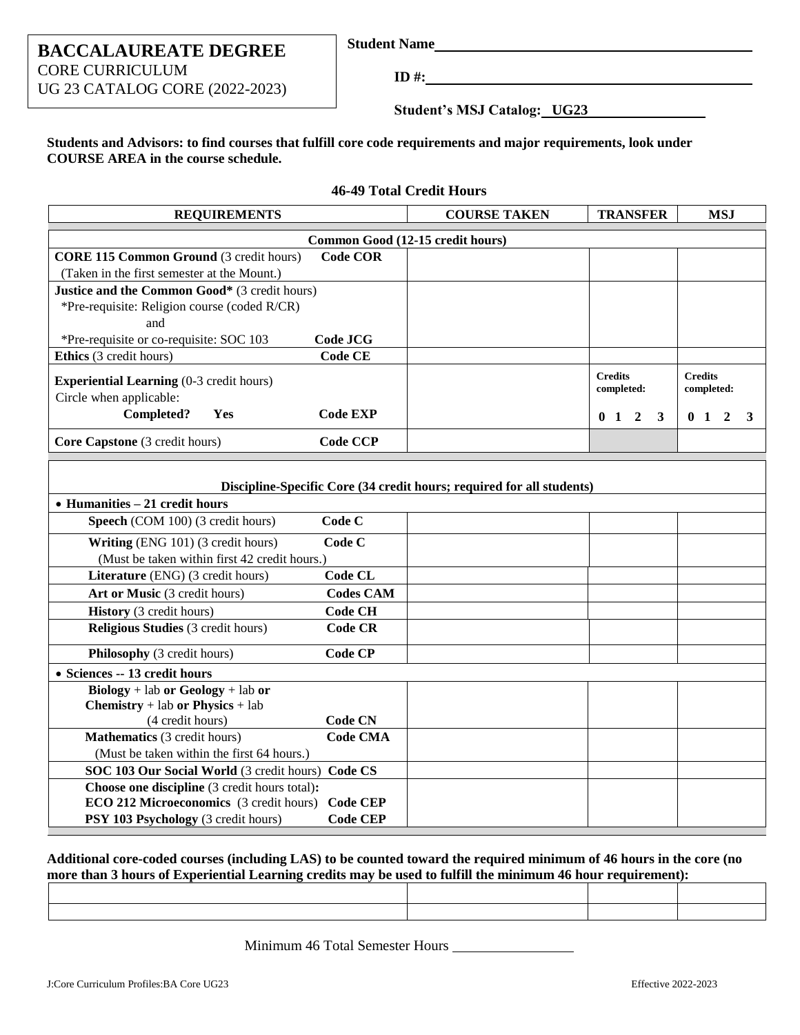### **BACCALAUREATE DEGREE** CORE CURRICULUM UG 23 CATALOG CORE (2022-2023)

**Student Name**

**ID #:**

**46-49 Total Credit Hours**

**Student's MSJ Catalog: UG23**

**Students and Advisors: to find courses that fulfill core code requirements and major requirements, look under COURSE AREA in the course schedule.**

| <b>REQUIREMENTS</b>                                                   |                 | <b>COURSE TAKEN</b>              | <b>TRANSFER</b>                                  | <b>MSJ</b>          |
|-----------------------------------------------------------------------|-----------------|----------------------------------|--------------------------------------------------|---------------------|
|                                                                       |                 | Common Good (12-15 credit hours) |                                                  |                     |
| <b>CORE 115 Common Ground (3 credit hours)</b>                        | <b>Code COR</b> |                                  |                                                  |                     |
| (Taken in the first semester at the Mount.)                           |                 |                                  |                                                  |                     |
| <b>Justice and the Common Good*</b> (3 credit hours)                  |                 |                                  |                                                  |                     |
| *Pre-requisite: Religion course (coded R/CR)                          |                 |                                  |                                                  |                     |
| and                                                                   |                 |                                  |                                                  |                     |
| *Pre-requisite or co-requisite: SOC 103                               | Code JCG        |                                  |                                                  |                     |
| <b>Ethics</b> (3 credit hours)                                        | Code CE         |                                  |                                                  |                     |
| <b>Experiential Learning</b> (0-3 credit hours)                       |                 |                                  | <b>Credits</b>                                   | <b>Credits</b>      |
| Circle when applicable:                                               |                 |                                  | completed:                                       | completed:          |
| Completed?<br><b>Yes</b>                                              | <b>Code EXP</b> |                                  | $\overline{2}$<br>$\mathbf{3}$<br>$\mathbf{0}$ 1 | 0 <sub>1</sub><br>3 |
| Core Capstone (3 credit hours)                                        | <b>Code CCP</b> |                                  |                                                  |                     |
|                                                                       |                 |                                  |                                                  |                     |
| Discipline-Specific Core (34 credit hours; required for all students) |                 |                                  |                                                  |                     |
| $\bullet$ Humanities $-21$ credit hours                               |                 |                                  |                                                  |                     |

| • Humanities $-21$ credit hours                                 |                  |  |  |
|-----------------------------------------------------------------|------------------|--|--|
| <b>Speech</b> (COM 100) (3 credit hours)                        | Code C           |  |  |
| Writing (ENG 101) (3 credit hours)                              | Code C           |  |  |
| (Must be taken within first 42 credit hours.)                   |                  |  |  |
| <b>Literature</b> (ENG) (3 credit hours)                        | Code CL          |  |  |
| Art or Music (3 credit hours)                                   | <b>Codes CAM</b> |  |  |
| <b>History</b> (3 credit hours)                                 | Code CH          |  |  |
| <b>Religious Studies</b> (3 credit hours)                       | <b>Code CR</b>   |  |  |
| <b>Philosophy</b> (3 credit hours)                              | Code CP          |  |  |
| • Sciences -- 13 credit hours                                   |                  |  |  |
| $\text{Biology} + \text{lab or} \text{Geology} + \text{lab or}$ |                  |  |  |
| <b>Chemistry</b> + lab or Physics + lab                         |                  |  |  |
| (4 credit hours)                                                | Code CN          |  |  |
| <b>Mathematics</b> (3 credit hours)                             | <b>Code CMA</b>  |  |  |
| (Must be taken within the first 64 hours.)                      |                  |  |  |
| SOC 103 Our Social World (3 credit hours) Code CS               |                  |  |  |
| Choose one discipline (3 credit hours total):                   |                  |  |  |
| <b>ECO 212 Microeconomics</b> (3 credit hours)                  | Code CEP         |  |  |
| <b>PSY 103 Psychology</b> (3 credit hours)                      | <b>Code CEP</b>  |  |  |

#### **Additional core-coded courses (including LAS) to be counted toward the required minimum of 46 hours in the core (no more than 3 hours of Experiential Learning credits may be used to fulfill the minimum 46 hour requirement):**

Minimum 46 Total Semester Hours